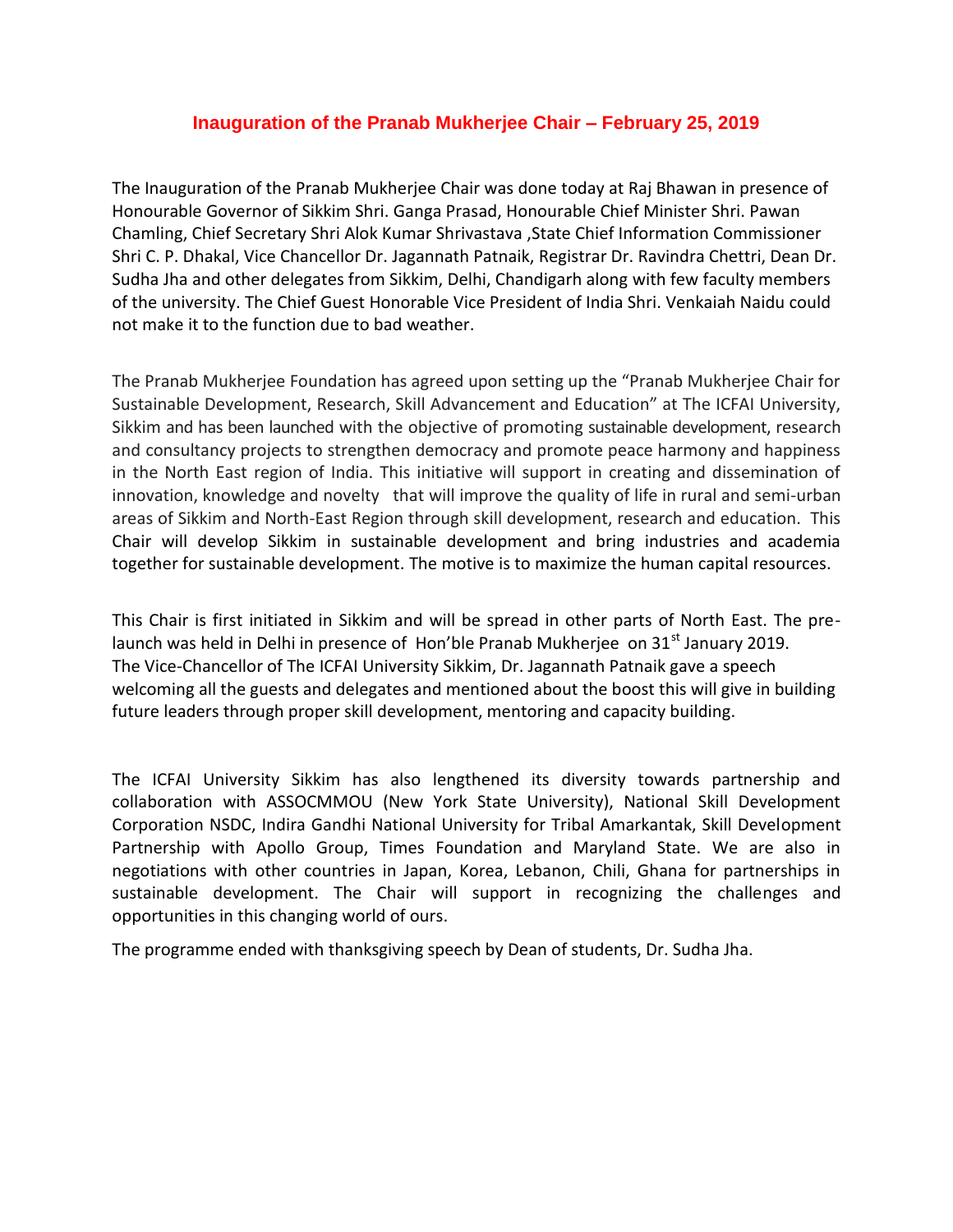## **Inauguration of the Pranab Mukherjee Chair – February 25, 2019**

The Inauguration of the Pranab Mukherjee Chair was done today at Raj Bhawan in presence of Honourable Governor of Sikkim Shri. Ganga Prasad, Honourable Chief Minister Shri. Pawan Chamling, Chief Secretary Shri Alok Kumar Shrivastava ,State Chief Information Commissioner Shri C. P. Dhakal, Vice Chancellor Dr. Jagannath Patnaik, Registrar Dr. Ravindra Chettri, Dean Dr. Sudha Jha and other delegates from Sikkim, Delhi, Chandigarh along with few faculty members of the university. The Chief Guest Honorable Vice President of India Shri. Venkaiah Naidu could not make it to the function due to bad weather.

The Pranab Mukherjee Foundation has agreed upon setting up the "Pranab Mukherjee Chair for Sustainable Development, Research, Skill Advancement and Education" at The ICFAI University, Sikkim and has been launched with the objective of promoting sustainable development, research and consultancy projects to strengthen democracy and promote peace harmony and happiness in the North East region of India. This initiative will support in creating and dissemination of innovation, knowledge and novelty that will improve the quality of life in rural and semi-urban areas of Sikkim and North-East Region through skill development, research and education. This Chair will develop Sikkim in sustainable development and bring industries and academia together for sustainable development. The motive is to maximize the human capital resources.

This Chair is first initiated in Sikkim and will be spread in other parts of North East. The prelaunch was held in Delhi in presence of Hon'ble Pranab Mukherjee on  $31<sup>st</sup>$  January 2019. The Vice-Chancellor of The ICFAI University Sikkim, Dr. Jagannath Patnaik gave a speech welcoming all the guests and delegates and mentioned about the boost this will give in building future leaders through proper skill development, mentoring and capacity building.

The ICFAI University Sikkim has also lengthened its diversity towards partnership and collaboration with ASSOCMMOU (New York State University), National Skill Development Corporation NSDC, Indira Gandhi National University for Tribal Amarkantak, Skill Development Partnership with Apollo Group, Times Foundation and Maryland State. We are also in negotiations with other countries in Japan, Korea, Lebanon, Chili, Ghana for partnerships in sustainable development. The Chair will support in recognizing the challenges and opportunities in this changing world of ours.

The programme ended with thanksgiving speech by Dean of students, Dr. Sudha Jha.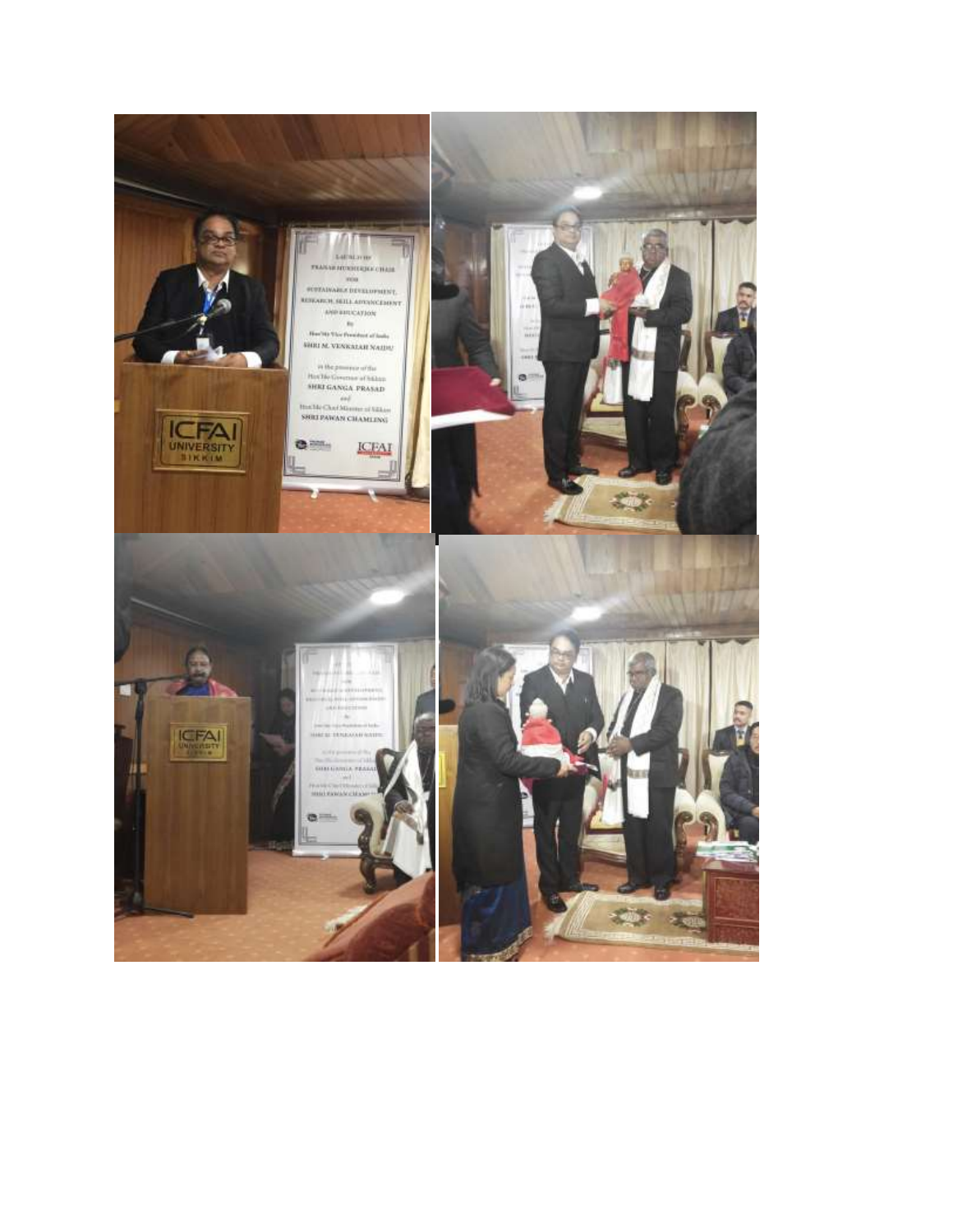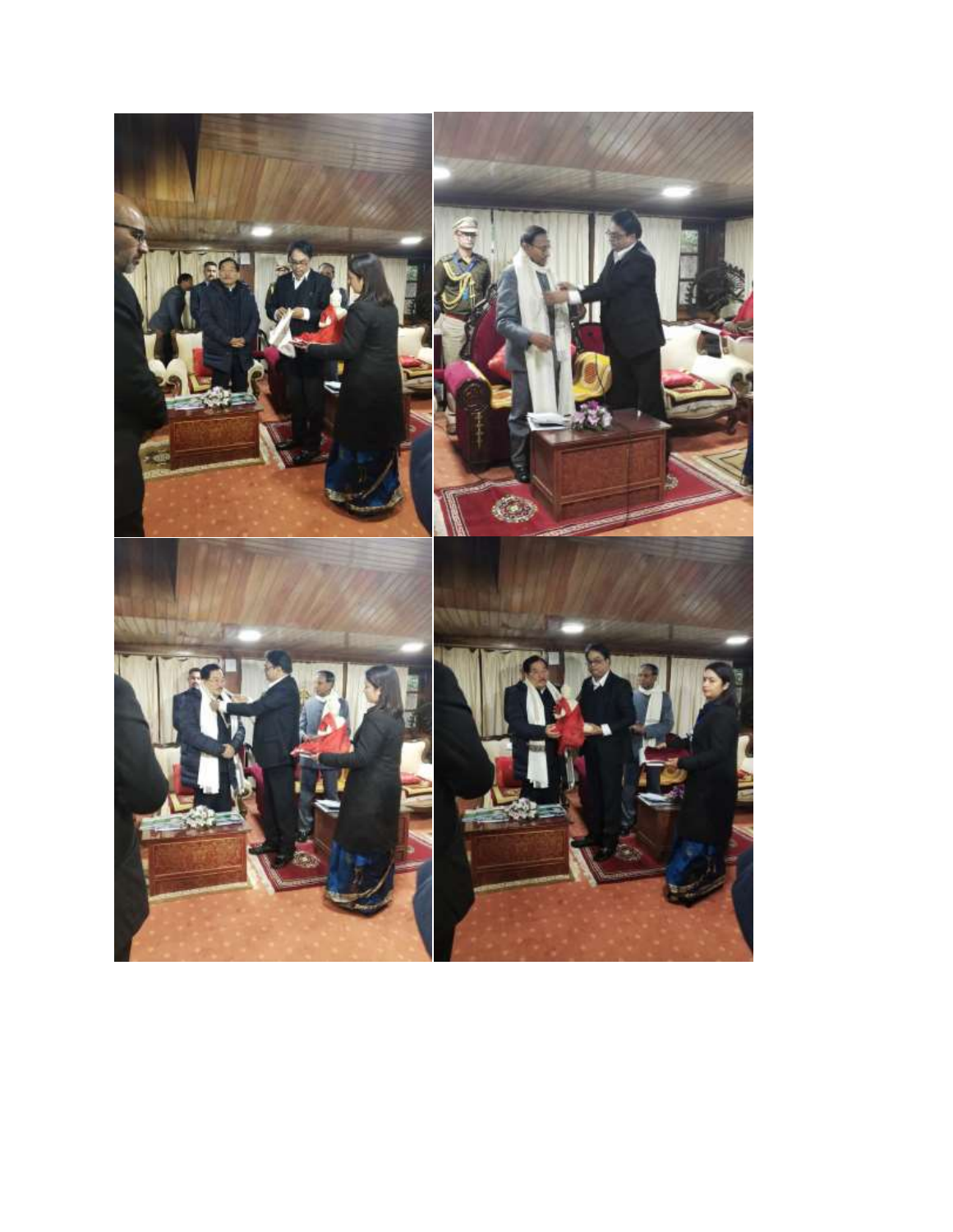